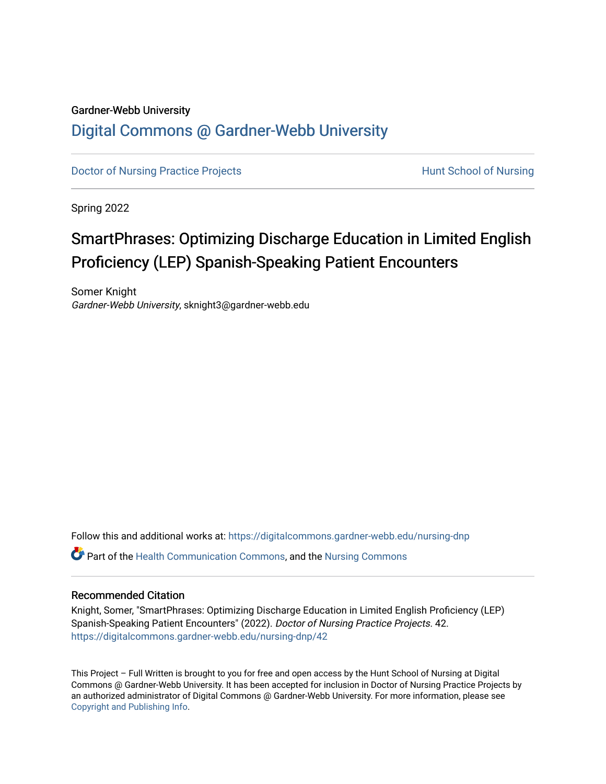# Gardner-Webb University

# [Digital Commons @ Gardner-Webb University](https://digitalcommons.gardner-webb.edu/)

[Doctor of Nursing Practice Projects](https://digitalcommons.gardner-webb.edu/nursing-dnp) **Hunt School of Nursing** 

Spring 2022

# SmartPhrases: Optimizing Discharge Education in Limited English Proficiency (LEP) Spanish-Speaking Patient Encounters

Somer Knight Gardner-Webb University, sknight3@gardner-webb.edu

Follow this and additional works at: [https://digitalcommons.gardner-webb.edu/nursing-dnp](https://digitalcommons.gardner-webb.edu/nursing-dnp?utm_source=digitalcommons.gardner-webb.edu%2Fnursing-dnp%2F42&utm_medium=PDF&utm_campaign=PDFCoverPages) 

Part of the [Health Communication Commons](https://network.bepress.com/hgg/discipline/330?utm_source=digitalcommons.gardner-webb.edu%2Fnursing-dnp%2F42&utm_medium=PDF&utm_campaign=PDFCoverPages), and the [Nursing Commons](https://network.bepress.com/hgg/discipline/718?utm_source=digitalcommons.gardner-webb.edu%2Fnursing-dnp%2F42&utm_medium=PDF&utm_campaign=PDFCoverPages) 

## Recommended Citation

Knight, Somer, "SmartPhrases: Optimizing Discharge Education in Limited English Proficiency (LEP) Spanish-Speaking Patient Encounters" (2022). Doctor of Nursing Practice Projects. 42. [https://digitalcommons.gardner-webb.edu/nursing-dnp/42](https://digitalcommons.gardner-webb.edu/nursing-dnp/42?utm_source=digitalcommons.gardner-webb.edu%2Fnursing-dnp%2F42&utm_medium=PDF&utm_campaign=PDFCoverPages)

This Project – Full Written is brought to you for free and open access by the Hunt School of Nursing at Digital Commons @ Gardner-Webb University. It has been accepted for inclusion in Doctor of Nursing Practice Projects by an authorized administrator of Digital Commons @ Gardner-Webb University. For more information, please see [Copyright and Publishing Info.](https://digitalcommons.gardner-webb.edu/copyright_publishing.html)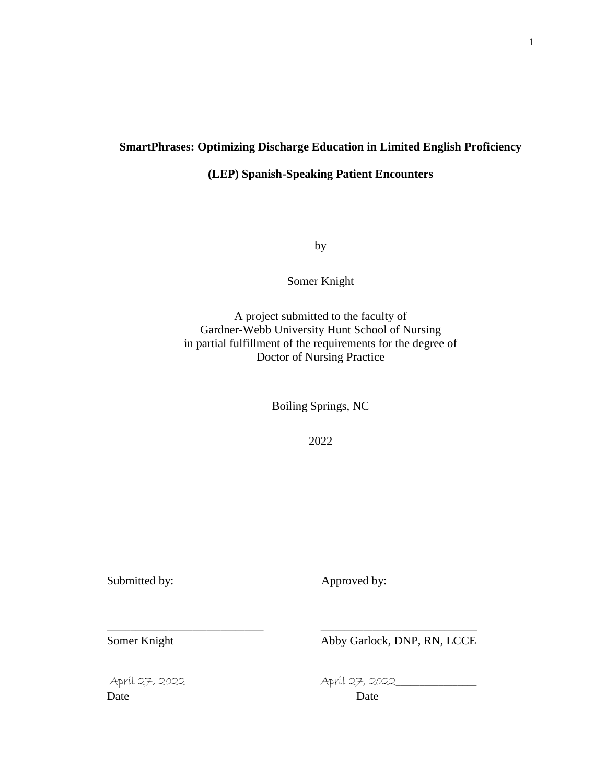# **SmartPhrases: Optimizing Discharge Education in Limited English Proficiency**

# **(LEP) Spanish-Speaking Patient Encounters**

by

Somer Knight

A project submitted to the faculty of Gardner-Webb University Hunt School of Nursing in partial fulfillment of the requirements for the degree of Doctor of Nursing Practice

Boiling Springs, NC

2022

\_\_\_\_\_\_\_\_\_\_\_\_\_\_\_\_\_\_\_\_\_\_\_\_\_\_\_\_\_\_\_\_\_ \_\_\_\_\_\_\_\_\_\_\_\_\_\_\_\_\_\_\_\_\_\_\_\_\_\_\_\_\_\_\_\_\_

Submitted by: <br>
Approved by:

Somer Knight Abby Garlock, DNP, RN, LCCE

April 27, 2022 April 27, 2022\_\_\_\_\_\_\_\_\_\_\_\_\_\_\_\_\_

Date Date Date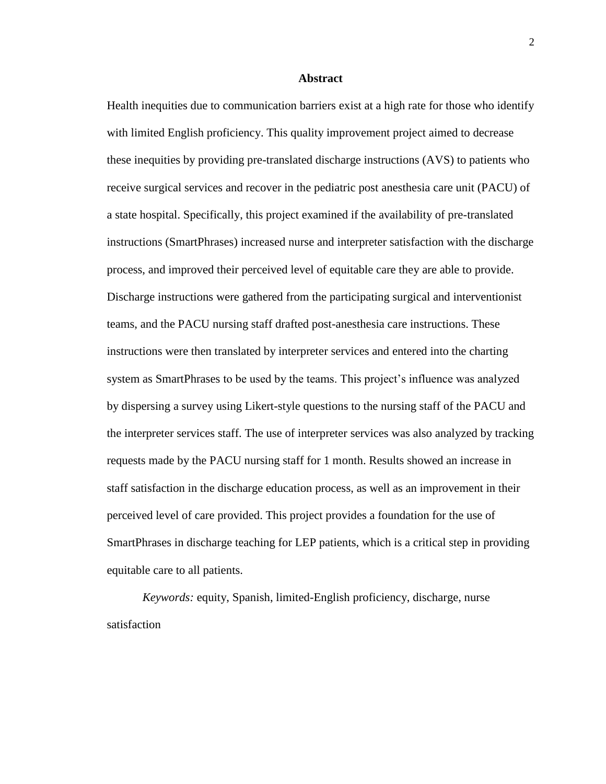#### **Abstract**

Health inequities due to communication barriers exist at a high rate for those who identify with limited English proficiency. This quality improvement project aimed to decrease these inequities by providing pre-translated discharge instructions (AVS) to patients who receive surgical services and recover in the pediatric post anesthesia care unit (PACU) of a state hospital. Specifically, this project examined if the availability of pre-translated instructions (SmartPhrases) increased nurse and interpreter satisfaction with the discharge process, and improved their perceived level of equitable care they are able to provide. Discharge instructions were gathered from the participating surgical and interventionist teams, and the PACU nursing staff drafted post-anesthesia care instructions. These instructions were then translated by interpreter services and entered into the charting system as SmartPhrases to be used by the teams. This project's influence was analyzed by dispersing a survey using Likert-style questions to the nursing staff of the PACU and the interpreter services staff. The use of interpreter services was also analyzed by tracking requests made by the PACU nursing staff for 1 month. Results showed an increase in staff satisfaction in the discharge education process, as well as an improvement in their perceived level of care provided. This project provides a foundation for the use of SmartPhrases in discharge teaching for LEP patients, which is a critical step in providing equitable care to all patients.

*Keywords:* equity, Spanish, limited-English proficiency, discharge, nurse satisfaction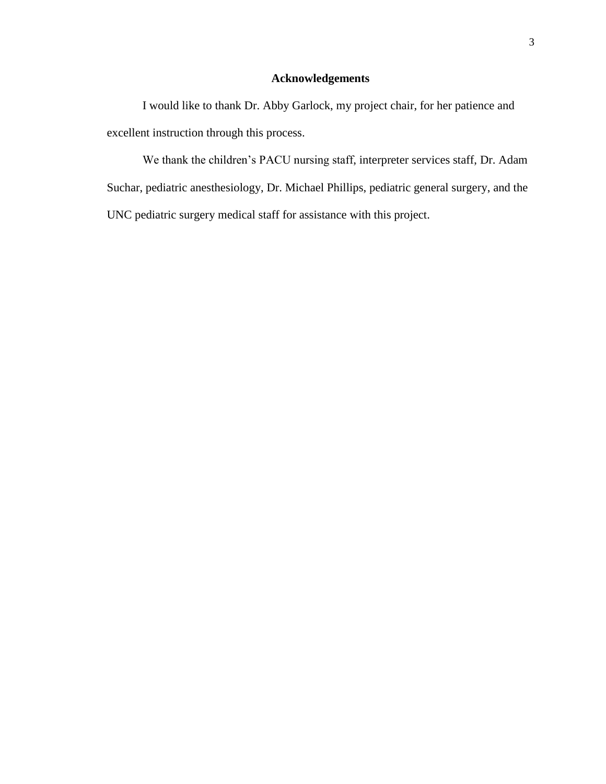# **Acknowledgements**

I would like to thank Dr. Abby Garlock, my project chair, for her patience and excellent instruction through this process.

We thank the children's PACU nursing staff, interpreter services staff, Dr. Adam Suchar, pediatric anesthesiology, Dr. Michael Phillips, pediatric general surgery, and the UNC pediatric surgery medical staff for assistance with this project.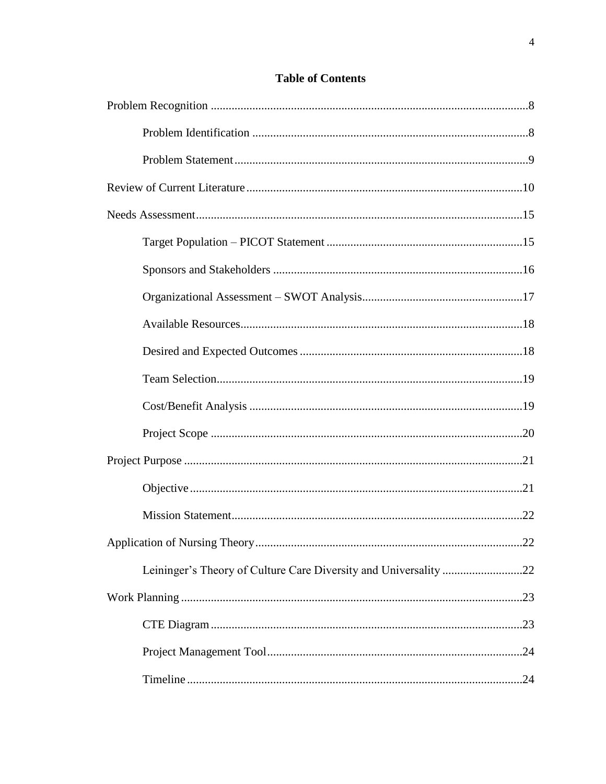| Leininger's Theory of Culture Care Diversity and Universality 22 |  |
|------------------------------------------------------------------|--|
|                                                                  |  |
|                                                                  |  |
|                                                                  |  |
|                                                                  |  |

# **Table of Contents**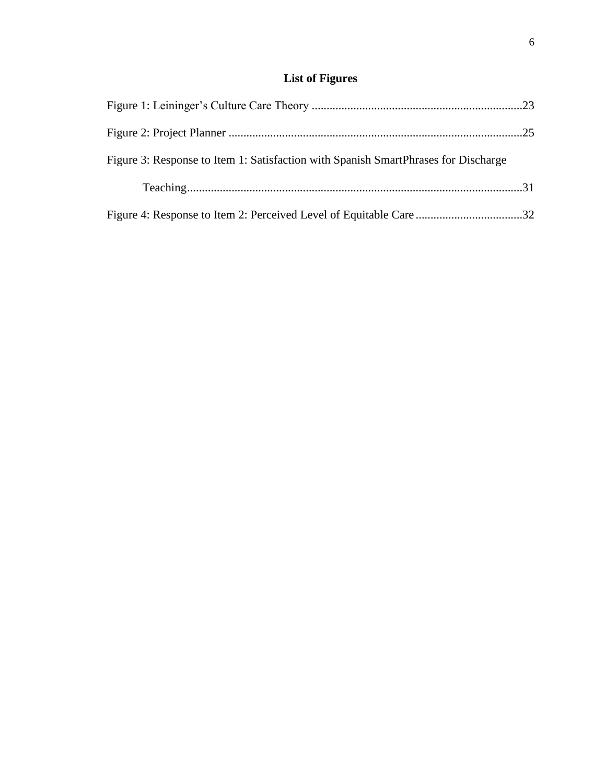# **List of Figures**

| Figure 3: Response to Item 1: Satisfaction with Spanish SmartPhrases for Discharge |  |
|------------------------------------------------------------------------------------|--|
|                                                                                    |  |
| Figure 4: Response to Item 2: Perceived Level of Equitable Care32                  |  |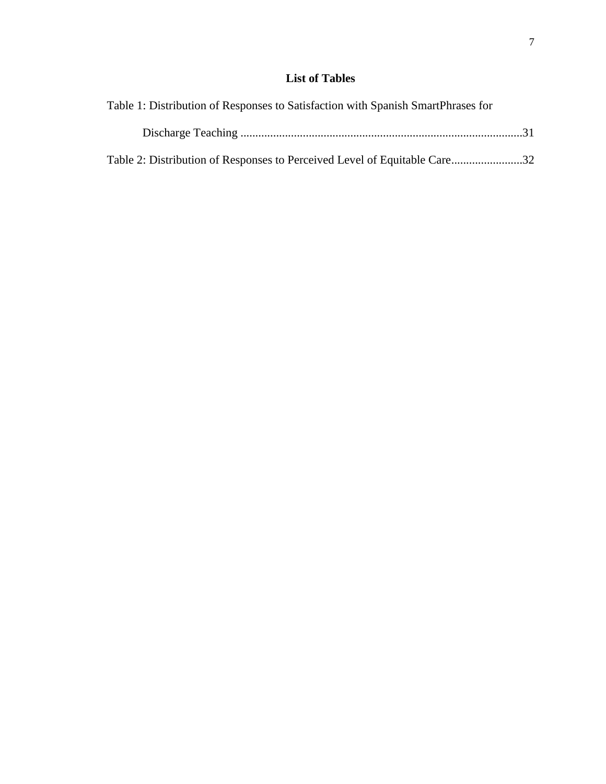# **List of Tables**

| Table 1: Distribution of Responses to Satisfaction with Spanish SmartPhrases for |  |
|----------------------------------------------------------------------------------|--|
|                                                                                  |  |
| Table 2: Distribution of Responses to Perceived Level of Equitable Care32        |  |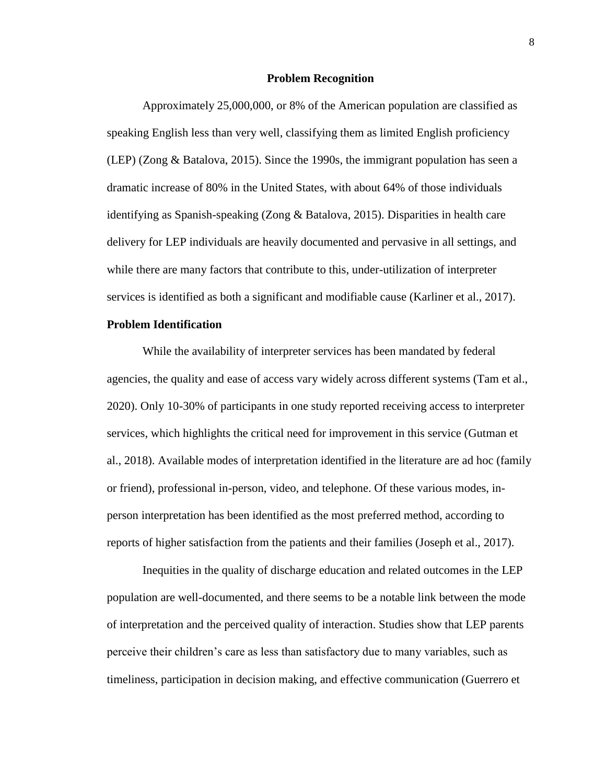#### **Problem Recognition**

Approximately 25,000,000, or 8% of the American population are classified as speaking English less than very well, classifying them as limited English proficiency (LEP) (Zong & Batalova, 2015). Since the 1990s, the immigrant population has seen a dramatic increase of 80% in the United States, with about 64% of those individuals identifying as Spanish-speaking (Zong & Batalova, 2015). Disparities in health care delivery for LEP individuals are heavily documented and pervasive in all settings, and while there are many factors that contribute to this, under-utilization of interpreter services is identified as both a significant and modifiable cause (Karliner et al., 2017).

# **Problem Identification**

While the availability of interpreter services has been mandated by federal agencies, the quality and ease of access vary widely across different systems (Tam et al., 2020). Only 10-30% of participants in one study reported receiving access to interpreter services, which highlights the critical need for improvement in this service (Gutman et al., 2018). Available modes of interpretation identified in the literature are ad hoc (family or friend), professional in-person, video, and telephone. Of these various modes, inperson interpretation has been identified as the most preferred method, according to reports of higher satisfaction from the patients and their families (Joseph et al., 2017).

Inequities in the quality of discharge education and related outcomes in the LEP population are well-documented, and there seems to be a notable link between the mode of interpretation and the perceived quality of interaction. Studies show that LEP parents perceive their children's care as less than satisfactory due to many variables, such as timeliness, participation in decision making, and effective communication (Guerrero et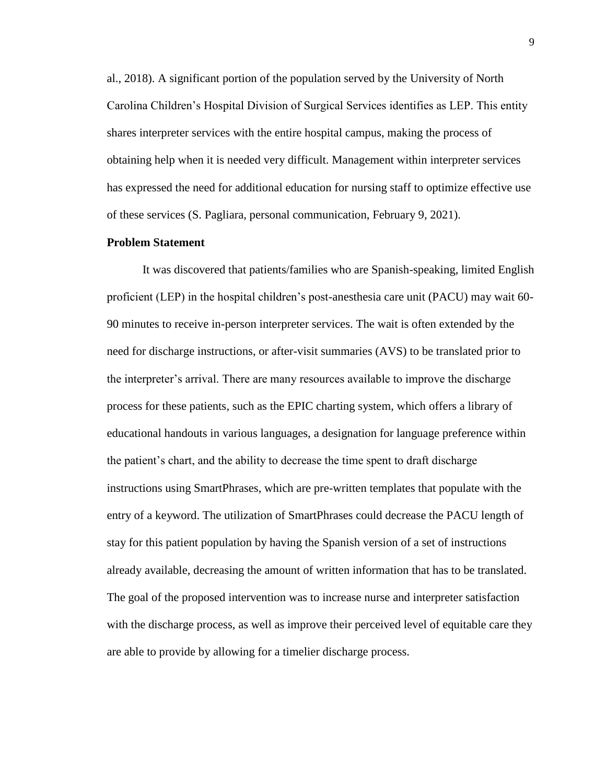al., 2018). A significant portion of the population served by the University of North Carolina Children's Hospital Division of Surgical Services identifies as LEP. This entity shares interpreter services with the entire hospital campus, making the process of obtaining help when it is needed very difficult. Management within interpreter services has expressed the need for additional education for nursing staff to optimize effective use of these services (S. Pagliara, personal communication, February 9, 2021).

## **Problem Statement**

It was discovered that patients/families who are Spanish-speaking, limited English proficient (LEP) in the hospital children's post-anesthesia care unit (PACU) may wait 60- 90 minutes to receive in-person interpreter services. The wait is often extended by the need for discharge instructions, or after-visit summaries (AVS) to be translated prior to the interpreter's arrival. There are many resources available to improve the discharge process for these patients, such as the EPIC charting system, which offers a library of educational handouts in various languages, a designation for language preference within the patient's chart, and the ability to decrease the time spent to draft discharge instructions using SmartPhrases, which are pre-written templates that populate with the entry of a keyword. The utilization of SmartPhrases could decrease the PACU length of stay for this patient population by having the Spanish version of a set of instructions already available, decreasing the amount of written information that has to be translated. The goal of the proposed intervention was to increase nurse and interpreter satisfaction with the discharge process, as well as improve their perceived level of equitable care they are able to provide by allowing for a timelier discharge process.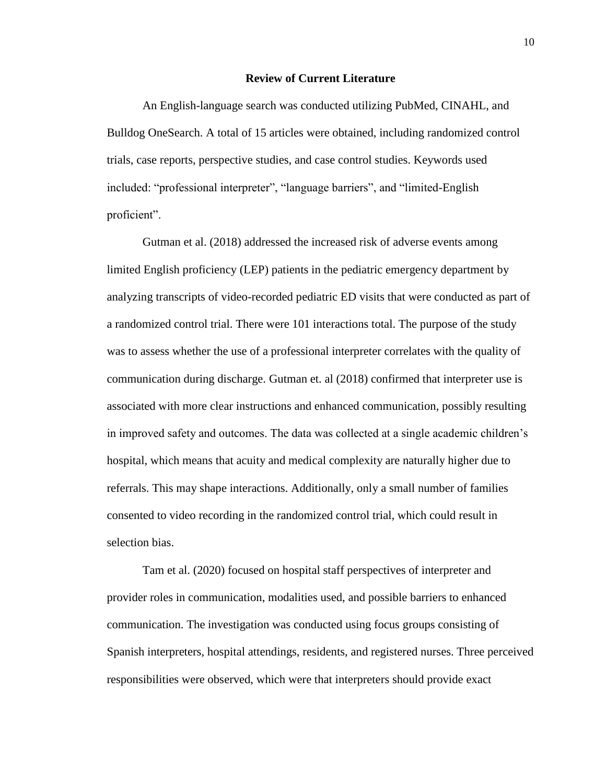## **Review of Current Literature**

An English-language search was conducted utilizing PubMed, CINAHL, and Bulldog OneSearch. A total of 15 articles were obtained, including randomized control trials, case reports, perspective studies, and case control studies. Keywords used included: "professional interpreter", "language barriers", and "limited-English proficient".

Gutman et al. (2018) addressed the increased risk of adverse events among limited English proficiency (LEP) patients in the pediatric emergency department by analyzing transcripts of video-recorded pediatric ED visits that were conducted as part of a randomized control trial. There were 101 interactions total. The purpose of the study was to assess whether the use of a professional interpreter correlates with the quality of communication during discharge. Gutman et. al (2018) confirmed that interpreter use is associated with more clear instructions and enhanced communication, possibly resulting in improved safety and outcomes. The data was collected at a single academic children's hospital, which means that acuity and medical complexity are naturally higher due to referrals. This may shape interactions. Additionally, only a small number of families consented to video recording in the randomized control trial, which could result in selection bias.

Tam et al. (2020) focused on hospital staff perspectives of interpreter and provider roles in communication, modalities used, and possible barriers to enhanced communication. The investigation was conducted using focus groups consisting of Spanish interpreters, hospital attendings, residents, and registered nurses. Three perceived responsibilities were observed, which were that interpreters should provide exact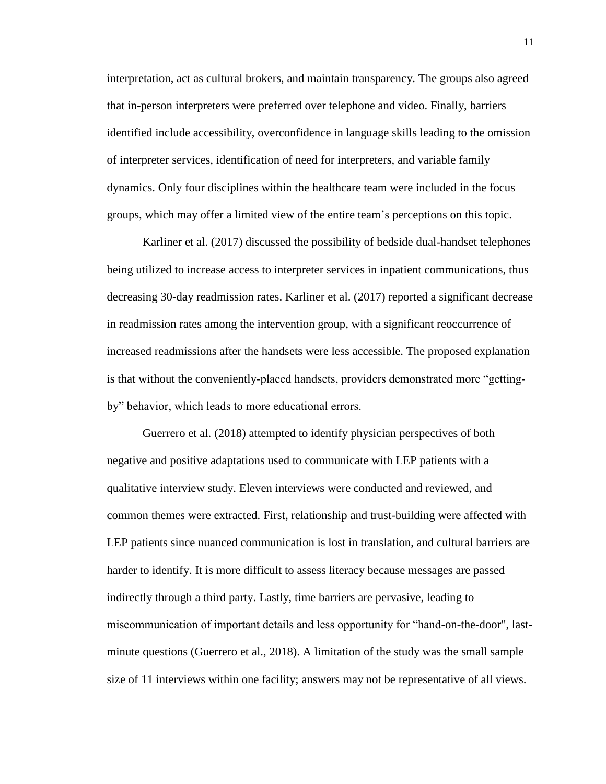interpretation, act as cultural brokers, and maintain transparency. The groups also agreed that in-person interpreters were preferred over telephone and video. Finally, barriers identified include accessibility, overconfidence in language skills leading to the omission of interpreter services, identification of need for interpreters, and variable family dynamics. Only four disciplines within the healthcare team were included in the focus groups, which may offer a limited view of the entire team's perceptions on this topic.

Karliner et al. (2017) discussed the possibility of bedside dual-handset telephones being utilized to increase access to interpreter services in inpatient communications, thus decreasing 30-day readmission rates. Karliner et al. (2017) reported a significant decrease in readmission rates among the intervention group, with a significant reoccurrence of increased readmissions after the handsets were less accessible. The proposed explanation is that without the conveniently-placed handsets, providers demonstrated more "gettingby" behavior, which leads to more educational errors.

Guerrero et al. (2018) attempted to identify physician perspectives of both negative and positive adaptations used to communicate with LEP patients with a qualitative interview study. Eleven interviews were conducted and reviewed, and common themes were extracted. First, relationship and trust-building were affected with LEP patients since nuanced communication is lost in translation, and cultural barriers are harder to identify. It is more difficult to assess literacy because messages are passed indirectly through a third party. Lastly, time barriers are pervasive, leading to miscommunication of important details and less opportunity for "hand-on-the-door", lastminute questions (Guerrero et al., 2018). A limitation of the study was the small sample size of 11 interviews within one facility; answers may not be representative of all views.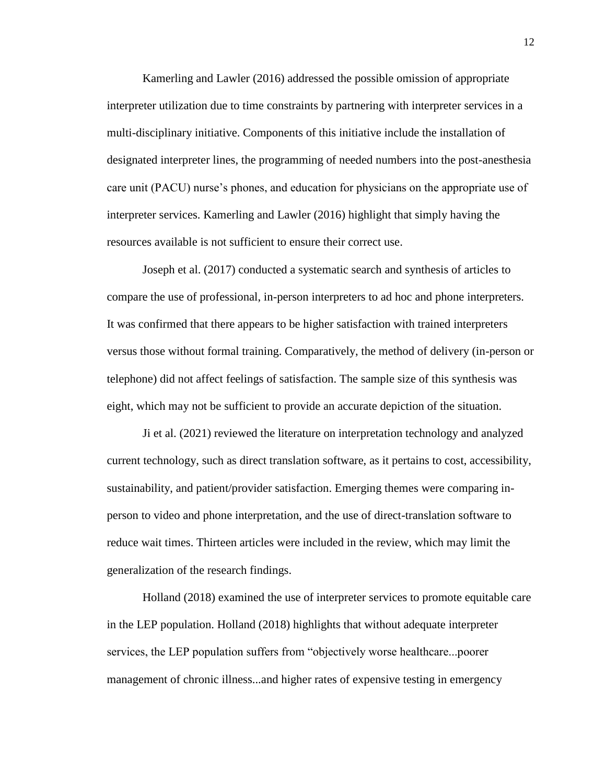Kamerling and Lawler (2016) addressed the possible omission of appropriate interpreter utilization due to time constraints by partnering with interpreter services in a multi-disciplinary initiative. Components of this initiative include the installation of designated interpreter lines, the programming of needed numbers into the post-anesthesia care unit (PACU) nurse's phones, and education for physicians on the appropriate use of interpreter services. Kamerling and Lawler (2016) highlight that simply having the resources available is not sufficient to ensure their correct use.

Joseph et al. (2017) conducted a systematic search and synthesis of articles to compare the use of professional, in-person interpreters to ad hoc and phone interpreters. It was confirmed that there appears to be higher satisfaction with trained interpreters versus those without formal training. Comparatively, the method of delivery (in-person or telephone) did not affect feelings of satisfaction. The sample size of this synthesis was eight, which may not be sufficient to provide an accurate depiction of the situation.

Ji et al. (2021) reviewed the literature on interpretation technology and analyzed current technology, such as direct translation software, as it pertains to cost, accessibility, sustainability, and patient/provider satisfaction. Emerging themes were comparing inperson to video and phone interpretation, and the use of direct-translation software to reduce wait times. Thirteen articles were included in the review, which may limit the generalization of the research findings.

Holland (2018) examined the use of interpreter services to promote equitable care in the LEP population. Holland (2018) highlights that without adequate interpreter services, the LEP population suffers from "objectively worse healthcare...poorer management of chronic illness...and higher rates of expensive testing in emergency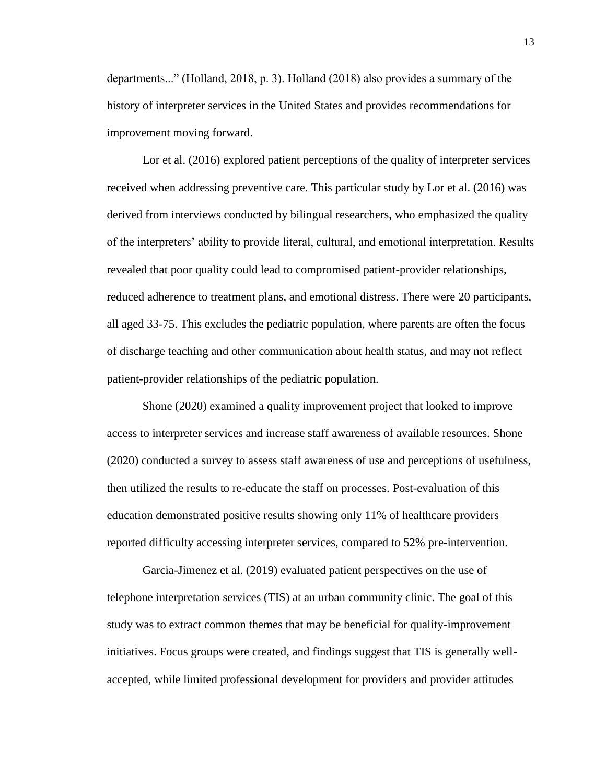departments..." (Holland, 2018, p. 3). Holland (2018) also provides a summary of the history of interpreter services in the United States and provides recommendations for improvement moving forward.

Lor et al. (2016) explored patient perceptions of the quality of interpreter services received when addressing preventive care. This particular study by Lor et al. (2016) was derived from interviews conducted by bilingual researchers, who emphasized the quality of the interpreters' ability to provide literal, cultural, and emotional interpretation. Results revealed that poor quality could lead to compromised patient-provider relationships, reduced adherence to treatment plans, and emotional distress. There were 20 participants, all aged 33-75. This excludes the pediatric population, where parents are often the focus of discharge teaching and other communication about health status, and may not reflect patient-provider relationships of the pediatric population.

Shone (2020) examined a quality improvement project that looked to improve access to interpreter services and increase staff awareness of available resources. Shone (2020) conducted a survey to assess staff awareness of use and perceptions of usefulness, then utilized the results to re-educate the staff on processes. Post-evaluation of this education demonstrated positive results showing only 11% of healthcare providers reported difficulty accessing interpreter services, compared to 52% pre-intervention.

Garcia-Jimenez et al. (2019) evaluated patient perspectives on the use of telephone interpretation services (TIS) at an urban community clinic. The goal of this study was to extract common themes that may be beneficial for quality-improvement initiatives. Focus groups were created, and findings suggest that TIS is generally wellaccepted, while limited professional development for providers and provider attitudes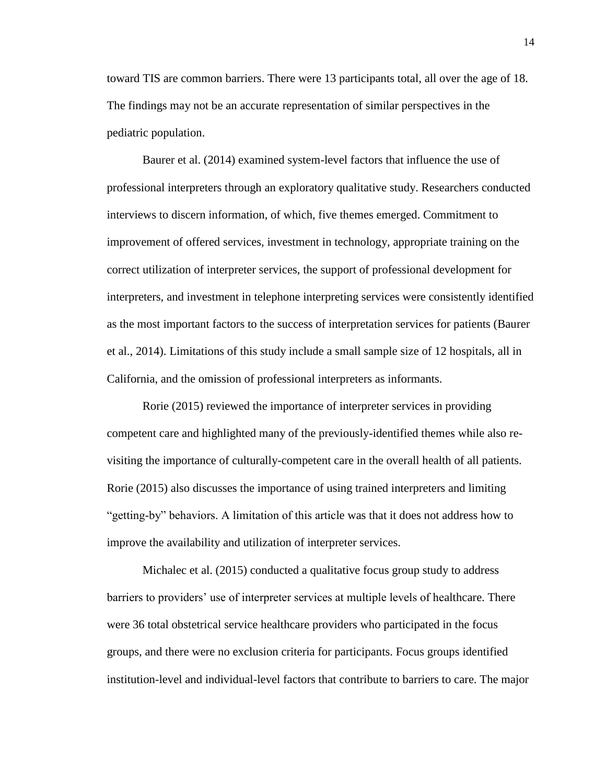toward TIS are common barriers. There were 13 participants total, all over the age of 18. The findings may not be an accurate representation of similar perspectives in the pediatric population.

Baurer et al. (2014) examined system-level factors that influence the use of professional interpreters through an exploratory qualitative study. Researchers conducted interviews to discern information, of which, five themes emerged. Commitment to improvement of offered services, investment in technology, appropriate training on the correct utilization of interpreter services, the support of professional development for interpreters, and investment in telephone interpreting services were consistently identified as the most important factors to the success of interpretation services for patients (Baurer et al., 2014). Limitations of this study include a small sample size of 12 hospitals, all in California, and the omission of professional interpreters as informants.

Rorie (2015) reviewed the importance of interpreter services in providing competent care and highlighted many of the previously-identified themes while also revisiting the importance of culturally-competent care in the overall health of all patients. Rorie (2015) also discusses the importance of using trained interpreters and limiting "getting-by" behaviors. A limitation of this article was that it does not address how to improve the availability and utilization of interpreter services.

Michalec et al. (2015) conducted a qualitative focus group study to address barriers to providers' use of interpreter services at multiple levels of healthcare. There were 36 total obstetrical service healthcare providers who participated in the focus groups, and there were no exclusion criteria for participants. Focus groups identified institution-level and individual-level factors that contribute to barriers to care. The major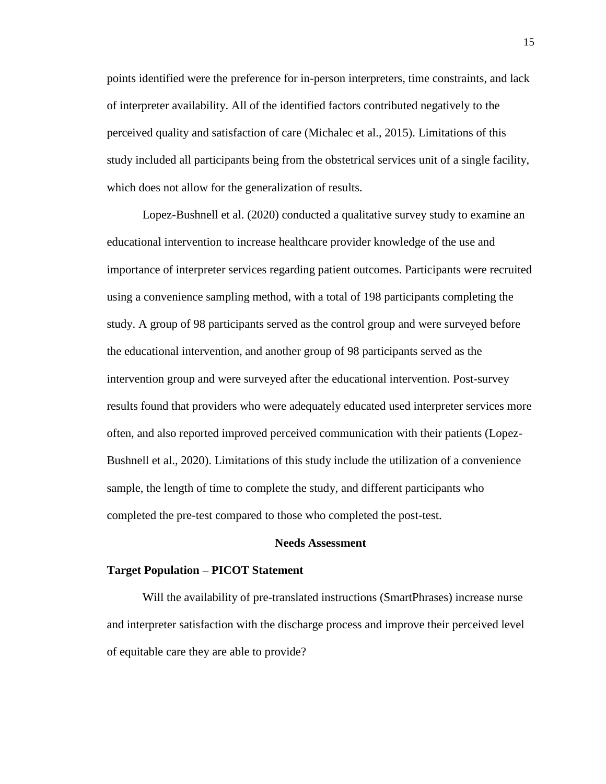points identified were the preference for in-person interpreters, time constraints, and lack of interpreter availability. All of the identified factors contributed negatively to the perceived quality and satisfaction of care (Michalec et al., 2015). Limitations of this study included all participants being from the obstetrical services unit of a single facility, which does not allow for the generalization of results.

Lopez-Bushnell et al. (2020) conducted a qualitative survey study to examine an educational intervention to increase healthcare provider knowledge of the use and importance of interpreter services regarding patient outcomes. Participants were recruited using a convenience sampling method, with a total of 198 participants completing the study. A group of 98 participants served as the control group and were surveyed before the educational intervention, and another group of 98 participants served as the intervention group and were surveyed after the educational intervention. Post-survey results found that providers who were adequately educated used interpreter services more often, and also reported improved perceived communication with their patients (Lopez-Bushnell et al., 2020). Limitations of this study include the utilization of a convenience sample, the length of time to complete the study, and different participants who completed the pre-test compared to those who completed the post-test.

#### **Needs Assessment**

#### **Target Population – PICOT Statement**

Will the availability of pre-translated instructions (SmartPhrases) increase nurse and interpreter satisfaction with the discharge process and improve their perceived level of equitable care they are able to provide?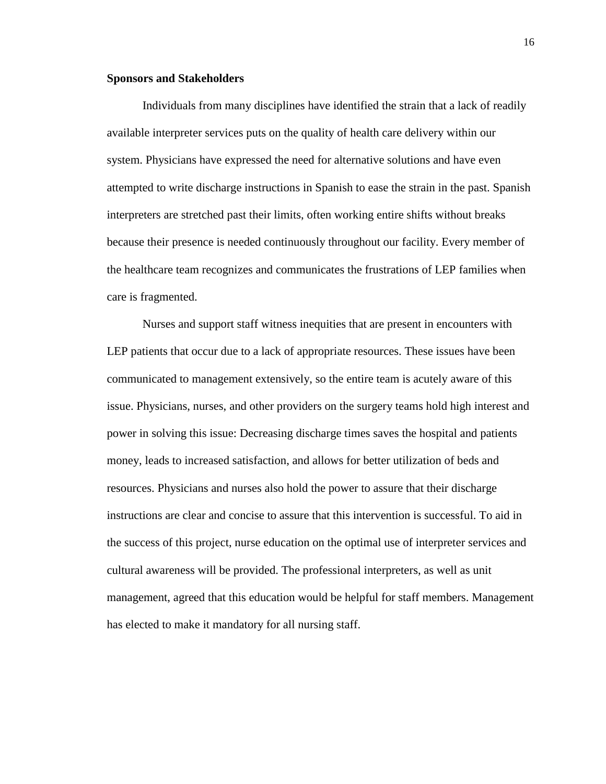#### **Sponsors and Stakeholders**

Individuals from many disciplines have identified the strain that a lack of readily available interpreter services puts on the quality of health care delivery within our system. Physicians have expressed the need for alternative solutions and have even attempted to write discharge instructions in Spanish to ease the strain in the past. Spanish interpreters are stretched past their limits, often working entire shifts without breaks because their presence is needed continuously throughout our facility. Every member of the healthcare team recognizes and communicates the frustrations of LEP families when care is fragmented.

Nurses and support staff witness inequities that are present in encounters with LEP patients that occur due to a lack of appropriate resources. These issues have been communicated to management extensively, so the entire team is acutely aware of this issue. Physicians, nurses, and other providers on the surgery teams hold high interest and power in solving this issue: Decreasing discharge times saves the hospital and patients money, leads to increased satisfaction, and allows for better utilization of beds and resources. Physicians and nurses also hold the power to assure that their discharge instructions are clear and concise to assure that this intervention is successful. To aid in the success of this project, nurse education on the optimal use of interpreter services and cultural awareness will be provided. The professional interpreters, as well as unit management, agreed that this education would be helpful for staff members. Management has elected to make it mandatory for all nursing staff.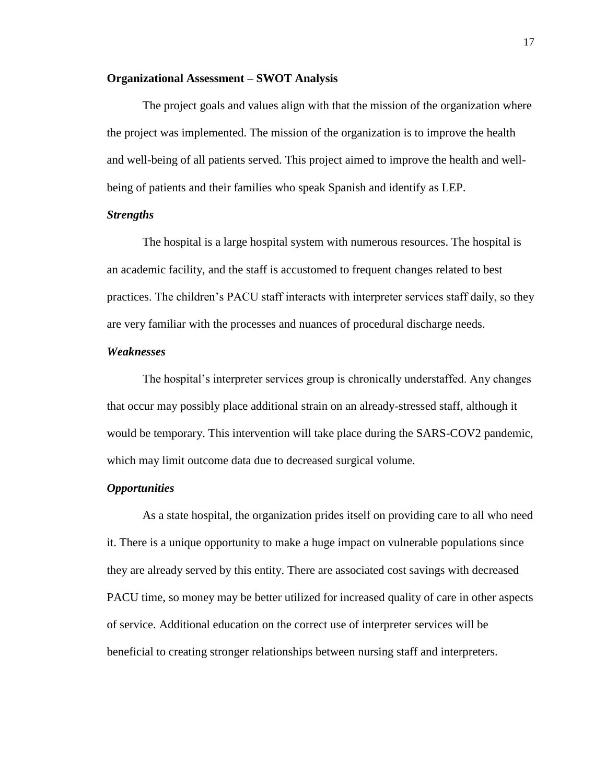## **Organizational Assessment – SWOT Analysis**

The project goals and values align with that the mission of the organization where the project was implemented. The mission of the organization is to improve the health and well-being of all patients served. This project aimed to improve the health and wellbeing of patients and their families who speak Spanish and identify as LEP.

## *Strengths*

The hospital is a large hospital system with numerous resources. The hospital is an academic facility, and the staff is accustomed to frequent changes related to best practices. The children's PACU staff interacts with interpreter services staff daily, so they are very familiar with the processes and nuances of procedural discharge needs.

# *Weaknesses*

The hospital's interpreter services group is chronically understaffed. Any changes that occur may possibly place additional strain on an already-stressed staff, although it would be temporary. This intervention will take place during the SARS-COV2 pandemic, which may limit outcome data due to decreased surgical volume.

## *Opportunities*

As a state hospital, the organization prides itself on providing care to all who need it. There is a unique opportunity to make a huge impact on vulnerable populations since they are already served by this entity. There are associated cost savings with decreased PACU time, so money may be better utilized for increased quality of care in other aspects of service. Additional education on the correct use of interpreter services will be beneficial to creating stronger relationships between nursing staff and interpreters.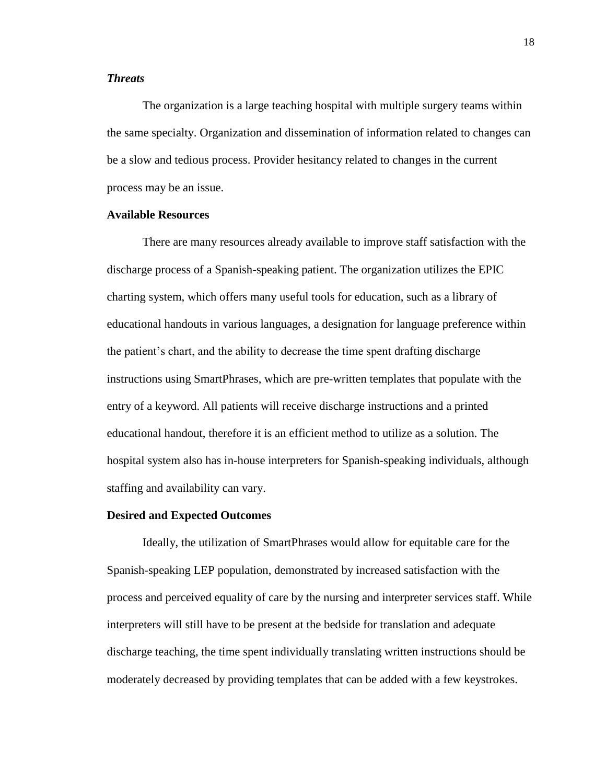# *Threats*

The organization is a large teaching hospital with multiple surgery teams within the same specialty. Organization and dissemination of information related to changes can be a slow and tedious process. Provider hesitancy related to changes in the current process may be an issue.

# **Available Resources**

There are many resources already available to improve staff satisfaction with the discharge process of a Spanish-speaking patient. The organization utilizes the EPIC charting system, which offers many useful tools for education, such as a library of educational handouts in various languages, a designation for language preference within the patient's chart, and the ability to decrease the time spent drafting discharge instructions using SmartPhrases, which are pre-written templates that populate with the entry of a keyword. All patients will receive discharge instructions and a printed educational handout, therefore it is an efficient method to utilize as a solution. The hospital system also has in-house interpreters for Spanish-speaking individuals, although staffing and availability can vary.

#### **Desired and Expected Outcomes**

Ideally, the utilization of SmartPhrases would allow for equitable care for the Spanish-speaking LEP population, demonstrated by increased satisfaction with the process and perceived equality of care by the nursing and interpreter services staff. While interpreters will still have to be present at the bedside for translation and adequate discharge teaching, the time spent individually translating written instructions should be moderately decreased by providing templates that can be added with a few keystrokes.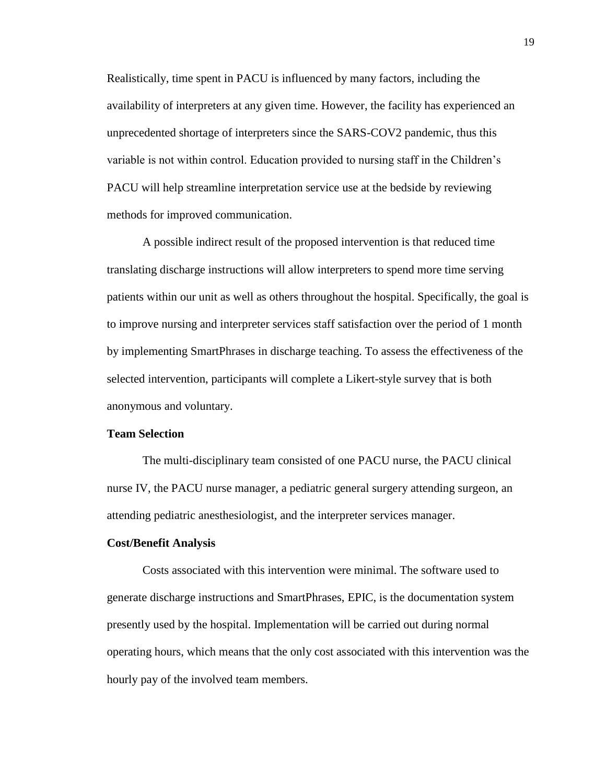Realistically, time spent in PACU is influenced by many factors, including the availability of interpreters at any given time. However, the facility has experienced an unprecedented shortage of interpreters since the SARS-COV2 pandemic, thus this variable is not within control. Education provided to nursing staff in the Children's PACU will help streamline interpretation service use at the bedside by reviewing methods for improved communication.

A possible indirect result of the proposed intervention is that reduced time translating discharge instructions will allow interpreters to spend more time serving patients within our unit as well as others throughout the hospital. Specifically, the goal is to improve nursing and interpreter services staff satisfaction over the period of 1 month by implementing SmartPhrases in discharge teaching. To assess the effectiveness of the selected intervention, participants will complete a Likert-style survey that is both anonymous and voluntary.

# **Team Selection**

The multi-disciplinary team consisted of one PACU nurse, the PACU clinical nurse IV, the PACU nurse manager, a pediatric general surgery attending surgeon, an attending pediatric anesthesiologist, and the interpreter services manager.

#### **Cost/Benefit Analysis**

Costs associated with this intervention were minimal. The software used to generate discharge instructions and SmartPhrases, EPIC, is the documentation system presently used by the hospital. Implementation will be carried out during normal operating hours, which means that the only cost associated with this intervention was the hourly pay of the involved team members.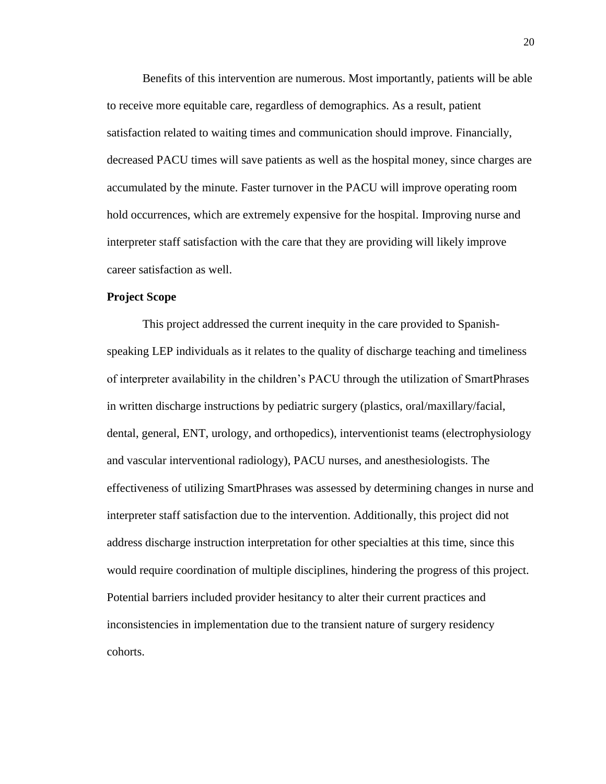Benefits of this intervention are numerous. Most importantly, patients will be able to receive more equitable care, regardless of demographics. As a result, patient satisfaction related to waiting times and communication should improve. Financially, decreased PACU times will save patients as well as the hospital money, since charges are accumulated by the minute. Faster turnover in the PACU will improve operating room hold occurrences, which are extremely expensive for the hospital. Improving nurse and interpreter staff satisfaction with the care that they are providing will likely improve career satisfaction as well.

#### **Project Scope**

This project addressed the current inequity in the care provided to Spanishspeaking LEP individuals as it relates to the quality of discharge teaching and timeliness of interpreter availability in the children's PACU through the utilization of SmartPhrases in written discharge instructions by pediatric surgery (plastics, oral/maxillary/facial, dental, general, ENT, urology, and orthopedics), interventionist teams (electrophysiology and vascular interventional radiology), PACU nurses, and anesthesiologists. The effectiveness of utilizing SmartPhrases was assessed by determining changes in nurse and interpreter staff satisfaction due to the intervention. Additionally, this project did not address discharge instruction interpretation for other specialties at this time, since this would require coordination of multiple disciplines, hindering the progress of this project. Potential barriers included provider hesitancy to alter their current practices and inconsistencies in implementation due to the transient nature of surgery residency cohorts.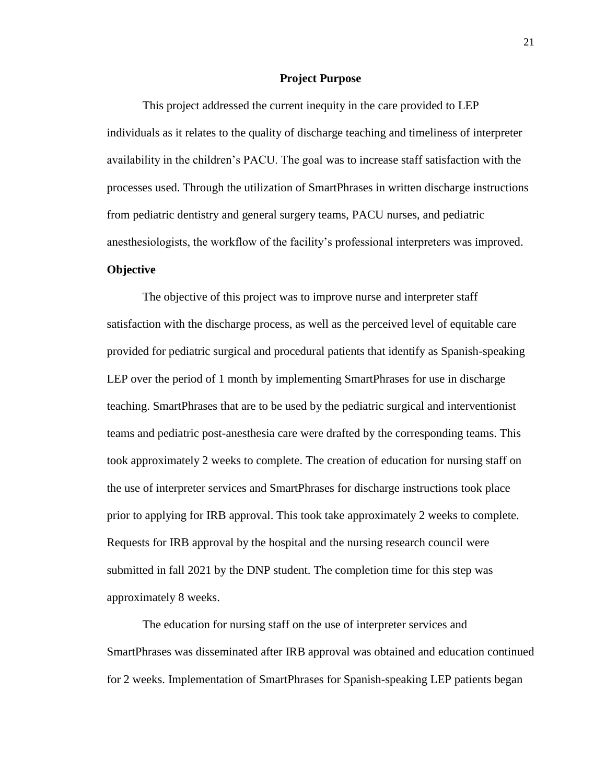#### **Project Purpose**

This project addressed the current inequity in the care provided to LEP individuals as it relates to the quality of discharge teaching and timeliness of interpreter availability in the children's PACU. The goal was to increase staff satisfaction with the processes used. Through the utilization of SmartPhrases in written discharge instructions from pediatric dentistry and general surgery teams, PACU nurses, and pediatric anesthesiologists, the workflow of the facility's professional interpreters was improved.

# **Objective**

The objective of this project was to improve nurse and interpreter staff satisfaction with the discharge process, as well as the perceived level of equitable care provided for pediatric surgical and procedural patients that identify as Spanish-speaking LEP over the period of 1 month by implementing SmartPhrases for use in discharge teaching. SmartPhrases that are to be used by the pediatric surgical and interventionist teams and pediatric post-anesthesia care were drafted by the corresponding teams. This took approximately 2 weeks to complete. The creation of education for nursing staff on the use of interpreter services and SmartPhrases for discharge instructions took place prior to applying for IRB approval. This took take approximately 2 weeks to complete. Requests for IRB approval by the hospital and the nursing research council were submitted in fall 2021 by the DNP student. The completion time for this step was approximately 8 weeks.

The education for nursing staff on the use of interpreter services and SmartPhrases was disseminated after IRB approval was obtained and education continued for 2 weeks. Implementation of SmartPhrases for Spanish-speaking LEP patients began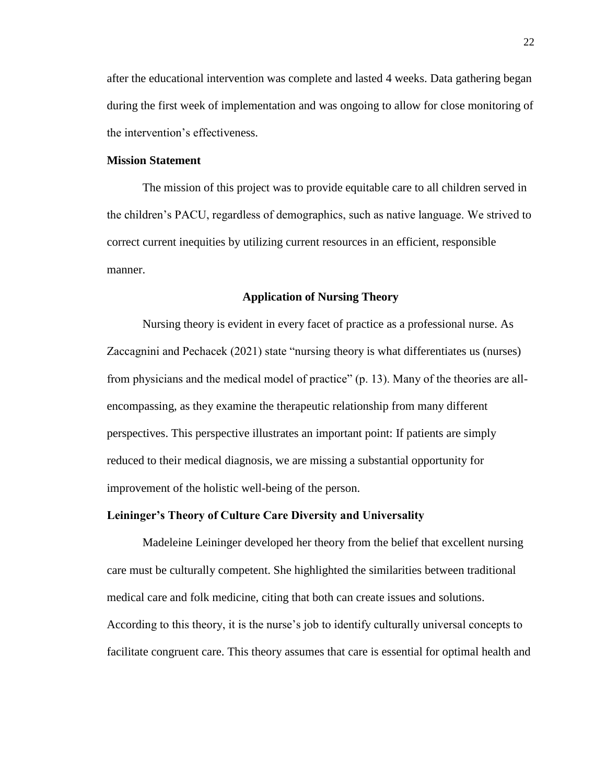after the educational intervention was complete and lasted 4 weeks. Data gathering began during the first week of implementation and was ongoing to allow for close monitoring of the intervention's effectiveness.

## **Mission Statement**

The mission of this project was to provide equitable care to all children served in the children's PACU, regardless of demographics, such as native language. We strived to correct current inequities by utilizing current resources in an efficient, responsible manner.

#### **Application of Nursing Theory**

Nursing theory is evident in every facet of practice as a professional nurse. As Zaccagnini and Pechacek (2021) state "nursing theory is what differentiates us (nurses) from physicians and the medical model of practice" (p. 13). Many of the theories are allencompassing, as they examine the therapeutic relationship from many different perspectives. This perspective illustrates an important point: If patients are simply reduced to their medical diagnosis, we are missing a substantial opportunity for improvement of the holistic well-being of the person.

# **Leininger's Theory of Culture Care Diversity and Universality**

Madeleine Leininger developed her theory from the belief that excellent nursing care must be culturally competent. She highlighted the similarities between traditional medical care and folk medicine, citing that both can create issues and solutions. According to this theory, it is the nurse's job to identify culturally universal concepts to facilitate congruent care. This theory assumes that care is essential for optimal health and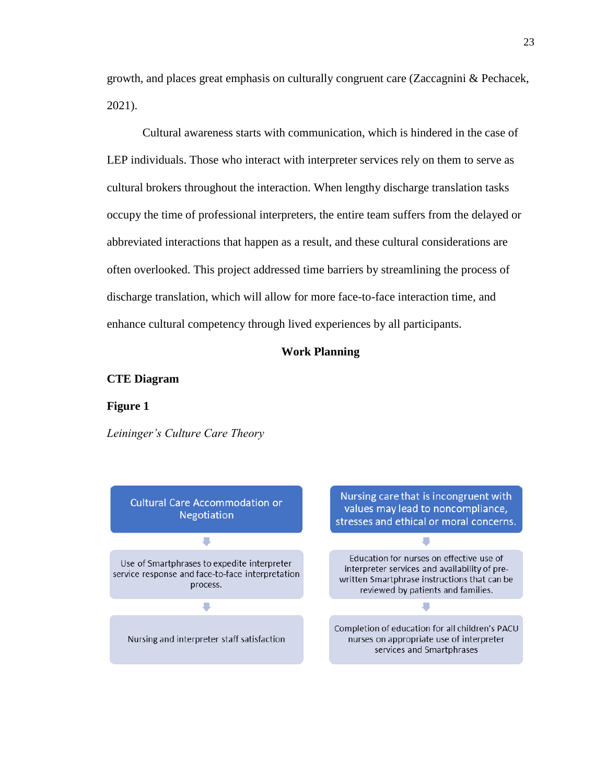growth, and places great emphasis on culturally congruent care (Zaccagnini & Pechacek, 2021).

Cultural awareness starts with communication, which is hindered in the case of LEP individuals. Those who interact with interpreter services rely on them to serve as cultural brokers throughout the interaction. When lengthy discharge translation tasks occupy the time of professional interpreters, the entire team suffers from the delayed or abbreviated interactions that happen as a result, and these cultural considerations are often overlooked. This project addressed time barriers by streamlining the process of discharge translation, which will allow for more face-to-face interaction time, and enhance cultural competency through lived experiences by all participants.

#### **Work Planning**

#### **CTE Diagram**

#### **Figure 1**

*Leininger's Culture Care Theory*

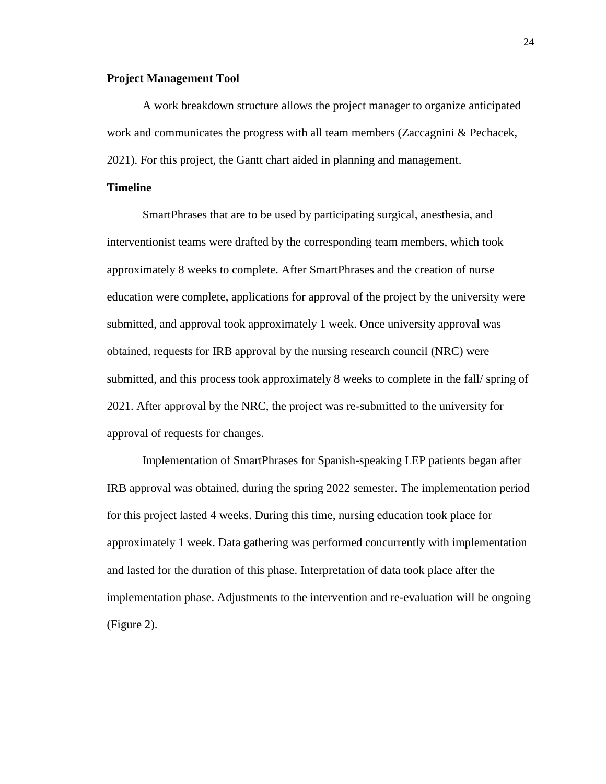# **Project Management Tool**

A work breakdown structure allows the project manager to organize anticipated work and communicates the progress with all team members (Zaccagnini & Pechacek, 2021). For this project, the Gantt chart aided in planning and management.

# **Timeline**

SmartPhrases that are to be used by participating surgical, anesthesia, and interventionist teams were drafted by the corresponding team members, which took approximately 8 weeks to complete. After SmartPhrases and the creation of nurse education were complete, applications for approval of the project by the university were submitted, and approval took approximately 1 week. Once university approval was obtained, requests for IRB approval by the nursing research council (NRC) were submitted, and this process took approximately 8 weeks to complete in the fall/ spring of 2021. After approval by the NRC, the project was re-submitted to the university for approval of requests for changes.

Implementation of SmartPhrases for Spanish-speaking LEP patients began after IRB approval was obtained, during the spring 2022 semester. The implementation period for this project lasted 4 weeks. During this time, nursing education took place for approximately 1 week. Data gathering was performed concurrently with implementation and lasted for the duration of this phase. Interpretation of data took place after the implementation phase. Adjustments to the intervention and re-evaluation will be ongoing (Figure 2).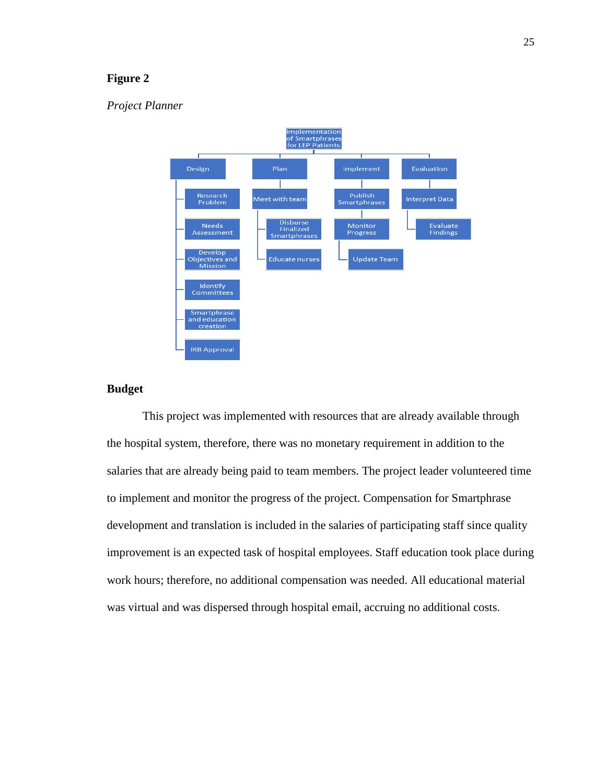# **Figure 2**

# *Project Planner*



# **Budget**

This project was implemented with resources that are already available through the hospital system, therefore, there was no monetary requirement in addition to the salaries that are already being paid to team members. The project leader volunteered time to implement and monitor the progress of the project. Compensation for Smartphrase development and translation is included in the salaries of participating staff since quality improvement is an expected task of hospital employees. Staff education took place during work hours; therefore, no additional compensation was needed. All educational material was virtual and was dispersed through hospital email, accruing no additional costs.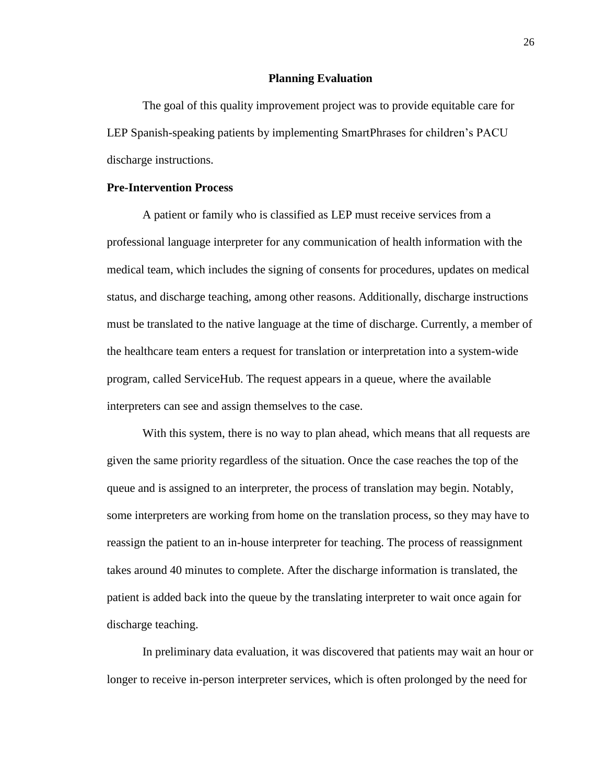#### **Planning Evaluation**

The goal of this quality improvement project was to provide equitable care for LEP Spanish-speaking patients by implementing SmartPhrases for children's PACU discharge instructions.

# **Pre-Intervention Process**

A patient or family who is classified as LEP must receive services from a professional language interpreter for any communication of health information with the medical team, which includes the signing of consents for procedures, updates on medical status, and discharge teaching, among other reasons. Additionally, discharge instructions must be translated to the native language at the time of discharge. Currently, a member of the healthcare team enters a request for translation or interpretation into a system-wide program, called ServiceHub. The request appears in a queue, where the available interpreters can see and assign themselves to the case.

With this system, there is no way to plan ahead, which means that all requests are given the same priority regardless of the situation. Once the case reaches the top of the queue and is assigned to an interpreter, the process of translation may begin. Notably, some interpreters are working from home on the translation process, so they may have to reassign the patient to an in-house interpreter for teaching. The process of reassignment takes around 40 minutes to complete. After the discharge information is translated, the patient is added back into the queue by the translating interpreter to wait once again for discharge teaching.

In preliminary data evaluation, it was discovered that patients may wait an hour or longer to receive in-person interpreter services, which is often prolonged by the need for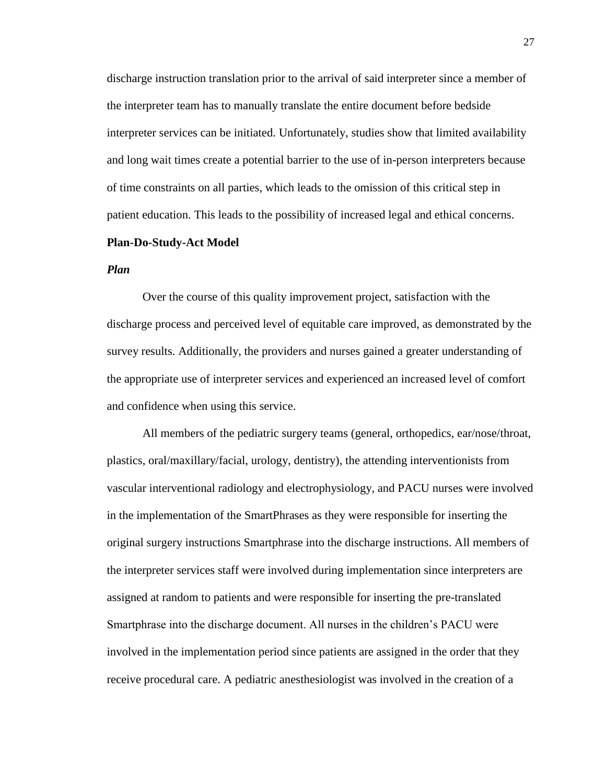discharge instruction translation prior to the arrival of said interpreter since a member of the interpreter team has to manually translate the entire document before bedside interpreter services can be initiated. Unfortunately, studies show that limited availability and long wait times create a potential barrier to the use of in-person interpreters because of time constraints on all parties, which leads to the omission of this critical step in patient education. This leads to the possibility of increased legal and ethical concerns.

#### **Plan-Do-Study-Act Model**

## *Plan*

Over the course of this quality improvement project, satisfaction with the discharge process and perceived level of equitable care improved, as demonstrated by the survey results. Additionally, the providers and nurses gained a greater understanding of the appropriate use of interpreter services and experienced an increased level of comfort and confidence when using this service.

All members of the pediatric surgery teams (general, orthopedics, ear/nose/throat, plastics, oral/maxillary/facial, urology, dentistry), the attending interventionists from vascular interventional radiology and electrophysiology, and PACU nurses were involved in the implementation of the SmartPhrases as they were responsible for inserting the original surgery instructions Smartphrase into the discharge instructions. All members of the interpreter services staff were involved during implementation since interpreters are assigned at random to patients and were responsible for inserting the pre-translated Smartphrase into the discharge document. All nurses in the children's PACU were involved in the implementation period since patients are assigned in the order that they receive procedural care. A pediatric anesthesiologist was involved in the creation of a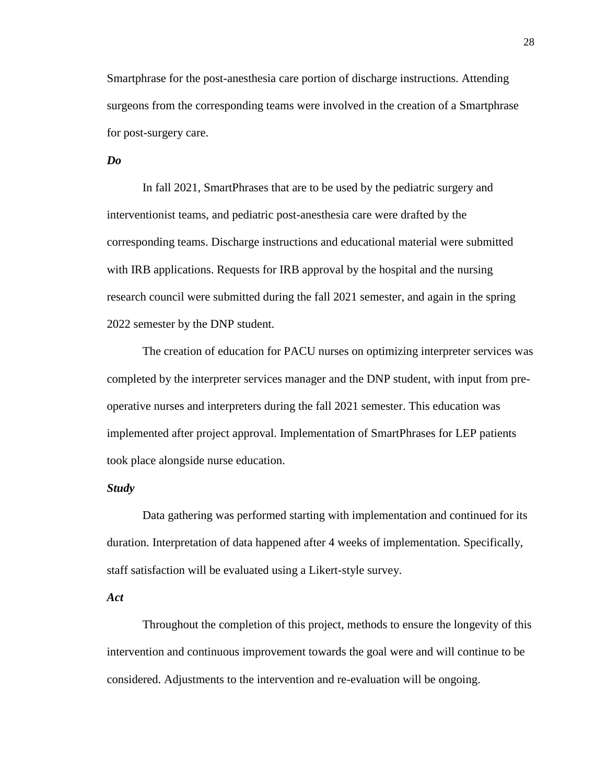Smartphrase for the post-anesthesia care portion of discharge instructions. Attending surgeons from the corresponding teams were involved in the creation of a Smartphrase for post-surgery care.

## *Do*

In fall 2021, SmartPhrases that are to be used by the pediatric surgery and interventionist teams, and pediatric post-anesthesia care were drafted by the corresponding teams. Discharge instructions and educational material were submitted with IRB applications. Requests for IRB approval by the hospital and the nursing research council were submitted during the fall 2021 semester, and again in the spring 2022 semester by the DNP student.

The creation of education for PACU nurses on optimizing interpreter services was completed by the interpreter services manager and the DNP student, with input from preoperative nurses and interpreters during the fall 2021 semester. This education was implemented after project approval. Implementation of SmartPhrases for LEP patients took place alongside nurse education.

## *Study*

Data gathering was performed starting with implementation and continued for its duration. Interpretation of data happened after 4 weeks of implementation. Specifically, staff satisfaction will be evaluated using a Likert-style survey.

## *Act*

Throughout the completion of this project, methods to ensure the longevity of this intervention and continuous improvement towards the goal were and will continue to be considered. Adjustments to the intervention and re-evaluation will be ongoing.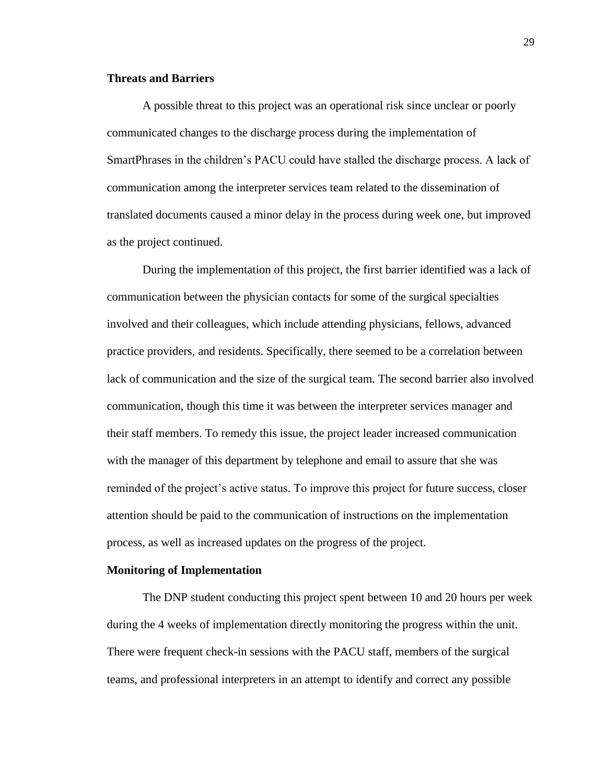# **Threats and Barriers**

A possible threat to this project was an operational risk since unclear or poorly communicated changes to the discharge process during the implementation of SmartPhrases in the children's PACU could have stalled the discharge process. A lack of communication among the interpreter services team related to the dissemination of translated documents caused a minor delay in the process during week one, but improved as the project continued.

During the implementation of this project, the first barrier identified was a lack of communication between the physician contacts for some of the surgical specialties involved and their colleagues, which include attending physicians, fellows, advanced practice providers, and residents. Specifically, there seemed to be a correlation between lack of communication and the size of the surgical team. The second barrier also involved communication, though this time it was between the interpreter services manager and their staff members. To remedy this issue, the project leader increased communication with the manager of this department by telephone and email to assure that she was reminded of the project's active status. To improve this project for future success, closer attention should be paid to the communication of instructions on the implementation process, as well as increased updates on the progress of the project.

#### **Monitoring of Implementation**

The DNP student conducting this project spent between 10 and 20 hours per week during the 4 weeks of implementation directly monitoring the progress within the unit. There were frequent check-in sessions with the PACU staff, members of the surgical teams, and professional interpreters in an attempt to identify and correct any possible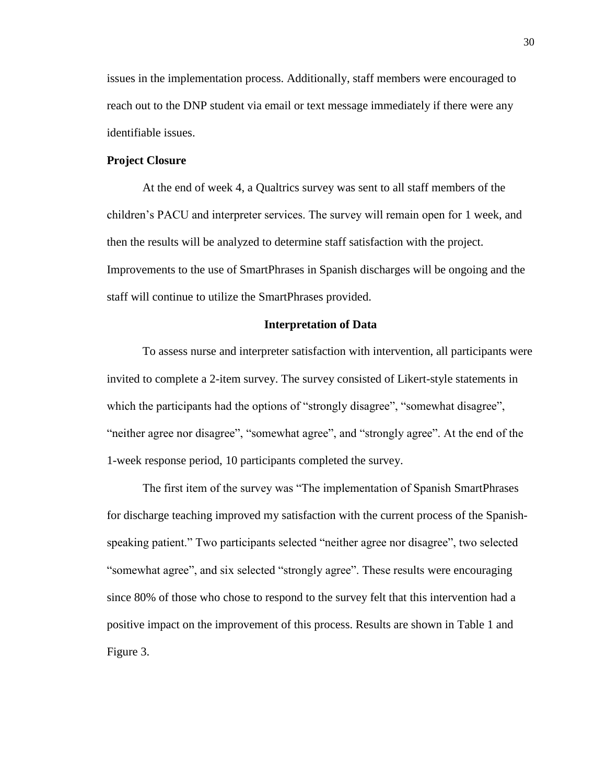issues in the implementation process. Additionally, staff members were encouraged to reach out to the DNP student via email or text message immediately if there were any identifiable issues.

# **Project Closure**

At the end of week 4, a Qualtrics survey was sent to all staff members of the children's PACU and interpreter services. The survey will remain open for 1 week, and then the results will be analyzed to determine staff satisfaction with the project. Improvements to the use of SmartPhrases in Spanish discharges will be ongoing and the staff will continue to utilize the SmartPhrases provided.

#### **Interpretation of Data**

To assess nurse and interpreter satisfaction with intervention, all participants were invited to complete a 2-item survey. The survey consisted of Likert-style statements in which the participants had the options of "strongly disagree", "somewhat disagree", "neither agree nor disagree", "somewhat agree", and "strongly agree". At the end of the 1-week response period, 10 participants completed the survey.

The first item of the survey was "The implementation of Spanish SmartPhrases for discharge teaching improved my satisfaction with the current process of the Spanishspeaking patient." Two participants selected "neither agree nor disagree", two selected "somewhat agree", and six selected "strongly agree". These results were encouraging since 80% of those who chose to respond to the survey felt that this intervention had a positive impact on the improvement of this process. Results are shown in Table 1 and Figure 3.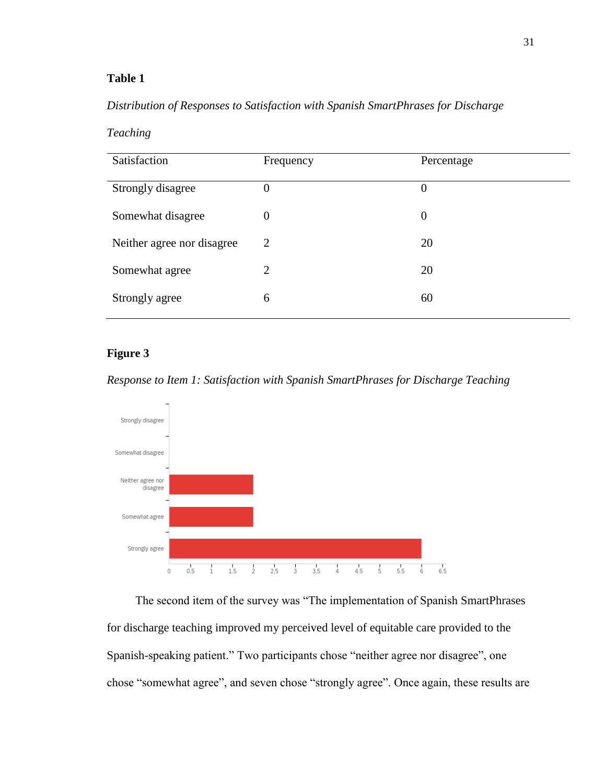# **Table 1**

# *Distribution of Responses to Satisfaction with Spanish SmartPhrases for Discharge*

| Teaching |  |  |
|----------|--|--|
|          |  |  |

| Satisfaction               | Frequency      | Percentage     |
|----------------------------|----------------|----------------|
| Strongly disagree          | $\overline{0}$ | 0              |
| Somewhat disagree          | $\overline{0}$ | $\overline{0}$ |
| Neither agree nor disagree | 2              | 20             |
| Somewhat agree             | 2              | 20             |
| Strongly agree             | 6              | 60             |

# **Figure 3**

*Response to Item 1: Satisfaction with Spanish SmartPhrases for Discharge Teaching*



The second item of the survey was "The implementation of Spanish SmartPhrases for discharge teaching improved my perceived level of equitable care provided to the Spanish-speaking patient." Two participants chose "neither agree nor disagree", one chose "somewhat agree", and seven chose "strongly agree". Once again, these results are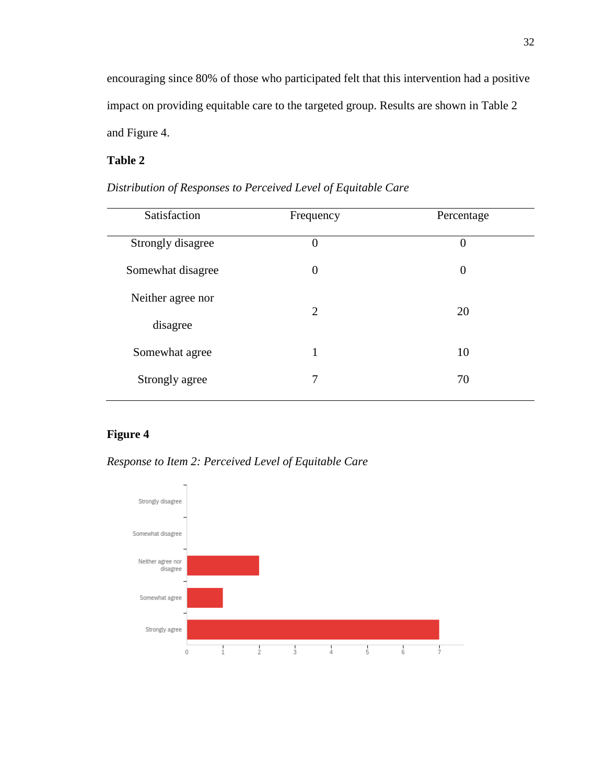encouraging since 80% of those who participated felt that this intervention had a positive impact on providing equitable care to the targeted group. Results are shown in Table 2 and Figure 4.

# **Table 2**

| Satisfaction      | Frequency        | Percentage       |
|-------------------|------------------|------------------|
| Strongly disagree | $\overline{0}$   | $\overline{0}$   |
| Somewhat disagree | $\boldsymbol{0}$ | $\boldsymbol{0}$ |
| Neither agree nor | $\overline{2}$   | 20               |
| disagree          |                  |                  |
| Somewhat agree    | $\mathbf{1}$     | 10               |
| Strongly agree    | 7                | 70               |
|                   |                  |                  |

*Distribution of Responses to Perceived Level of Equitable Care*

# **Figure 4**

*Response to Item 2: Perceived Level of Equitable Care*

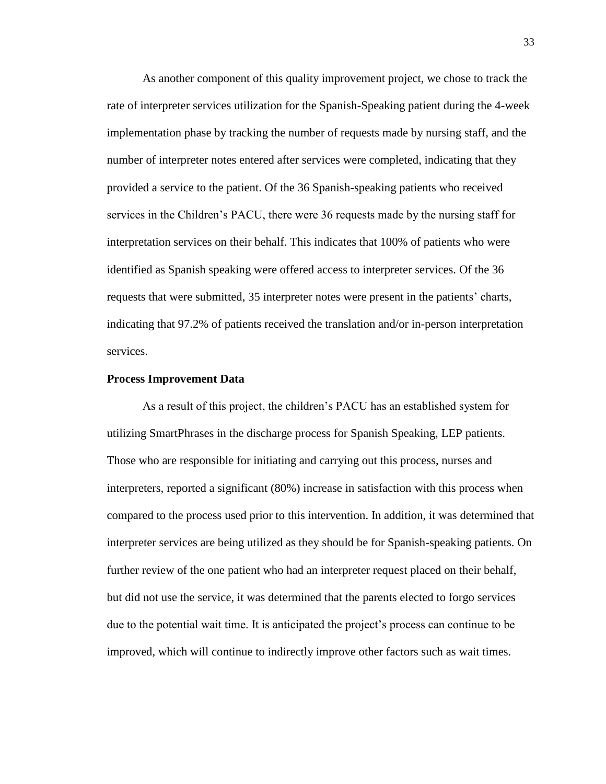As another component of this quality improvement project, we chose to track the rate of interpreter services utilization for the Spanish-Speaking patient during the 4-week implementation phase by tracking the number of requests made by nursing staff, and the number of interpreter notes entered after services were completed, indicating that they provided a service to the patient. Of the 36 Spanish-speaking patients who received services in the Children's PACU, there were 36 requests made by the nursing staff for interpretation services on their behalf. This indicates that 100% of patients who were identified as Spanish speaking were offered access to interpreter services. Of the 36 requests that were submitted, 35 interpreter notes were present in the patients' charts, indicating that 97.2% of patients received the translation and/or in-person interpretation services.

#### **Process Improvement Data**

As a result of this project, the children's PACU has an established system for utilizing SmartPhrases in the discharge process for Spanish Speaking, LEP patients. Those who are responsible for initiating and carrying out this process, nurses and interpreters, reported a significant (80%) increase in satisfaction with this process when compared to the process used prior to this intervention. In addition, it was determined that interpreter services are being utilized as they should be for Spanish-speaking patients. On further review of the one patient who had an interpreter request placed on their behalf, but did not use the service, it was determined that the parents elected to forgo services due to the potential wait time. It is anticipated the project's process can continue to be improved, which will continue to indirectly improve other factors such as wait times.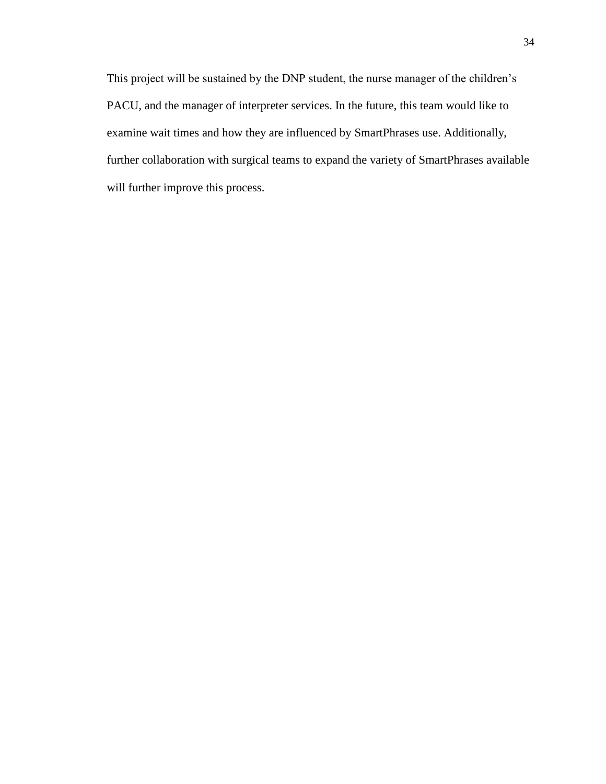This project will be sustained by the DNP student, the nurse manager of the children's PACU, and the manager of interpreter services. In the future, this team would like to examine wait times and how they are influenced by SmartPhrases use. Additionally, further collaboration with surgical teams to expand the variety of SmartPhrases available will further improve this process.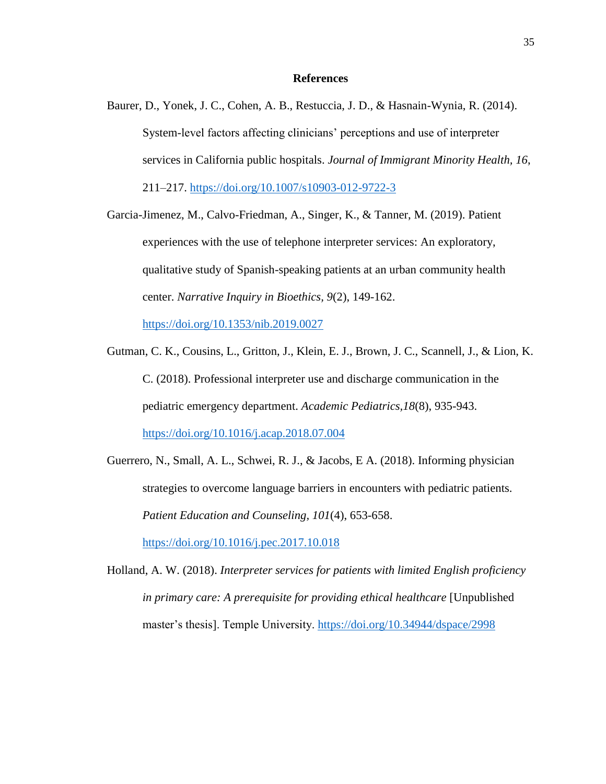## **References**

Baurer, D., Yonek, J. C., Cohen, A. B., Restuccia, J. D., & Hasnain-Wynia, R. (2014). System-level factors affecting clinicians' perceptions and use of interpreter services in California public hospitals. *Journal of Immigrant Minority Health, 16*, 211–217.<https://doi.org/10.1007/s10903-012-9722-3>

Garcia-Jimenez, M., Calvo-Friedman, A., Singer, K., & Tanner, M. (2019). Patient experiences with the use of telephone interpreter services: An exploratory, qualitative study of Spanish-speaking patients at an urban community health center. *Narrative Inquiry in Bioethics, 9*(2), 149-162.

<https://doi.org/10.1353/nib.2019.0027>

- Gutman, C. K., Cousins, L., Gritton, J., Klein, E. J., Brown, J. C., Scannell, J., & Lion, K. C. (2018). Professional interpreter use and discharge communication in the pediatric emergency department. *Academic Pediatrics,18*(8), 935-943. <https://doi.org/10.1016/j.acap.2018.07.004>
- Guerrero, N., Small, A. L., Schwei, R. J., & Jacobs, E A. (2018). Informing physician strategies to overcome language barriers in encounters with pediatric patients. *Patient Education and Counseling, 101*(4), 653-658.

<https://doi.org/10.1016/j.pec.2017.10.018>

Holland, A. W. (2018). *Interpreter services for patients with limited English proficiency in primary care: A prerequisite for providing ethical healthcare* [Unpublished master's thesis]. Temple University.<https://doi.org/10.34944/dspace/2998>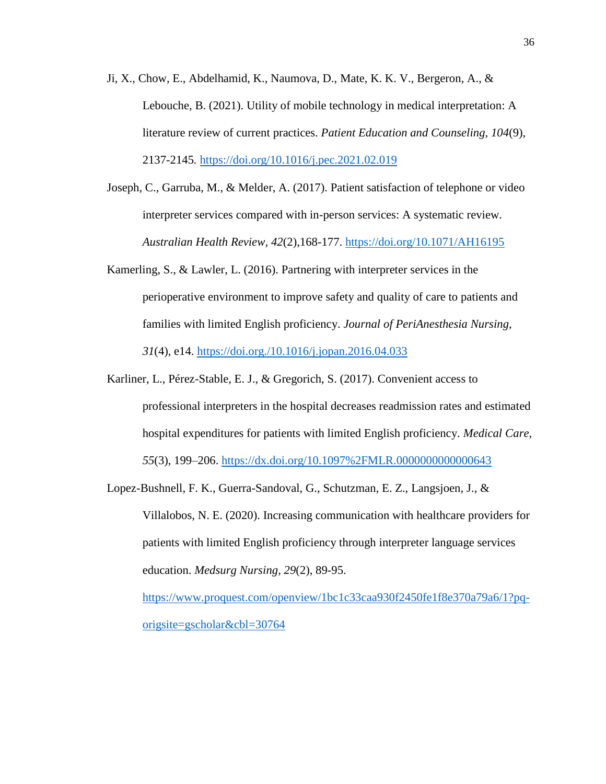- Ji, X., Chow, E., Abdelhamid, K., Naumova, D., Mate, K. K. V., Bergeron, A., & Lebouche, B. (2021). Utility of mobile technology in medical interpretation: A literature review of current practices. *Patient Education and Counseling, 104*(9), 2137-2145*.* <https://doi.org/10.1016/j.pec.2021.02.019>
- Joseph, C., Garruba, M., & Melder, A. (2017). Patient satisfaction of telephone or video interpreter services compared with in-person services: A systematic review. *Australian Health Review, 42*(2),168-177.<https://doi.org/10.1071/AH16195>
- Kamerling, S., & Lawler, L. (2016). Partnering with interpreter services in the perioperative environment to improve safety and quality of care to patients and families with limited English proficiency. *Journal of PeriAnesthesia Nursing, 31*(4), e14.<https://doi.org./10.1016/j.jopan.2016.04.033>
- Karliner, L., Pérez-Stable, E. J., & Gregorich, S. (2017). Convenient access to professional interpreters in the hospital decreases readmission rates and estimated hospital expenditures for patients with limited English proficiency. *Medical Care, 55*(3), 199–206.<https://dx.doi.org/10.1097%2FMLR.0000000000000643>
- Lopez-Bushnell, F. K., Guerra-Sandoval, G., Schutzman, E. Z., Langsjoen, J., & Villalobos, N. E. (2020). Increasing communication with healthcare providers for patients with limited English proficiency through interpreter language services education. *Medsurg Nursing, 29*(2), 89-95. [https://www.proquest.com/openview/1bc1c33caa930f2450fe1f8e370a79a6/1?pq](https://www.proquest.com/openview/1bc1c33caa930f2450fe1f8e370a79a6/1?pq-origsite=gscholar&cbl=30764)[origsite=gscholar&cbl=30764](https://www.proquest.com/openview/1bc1c33caa930f2450fe1f8e370a79a6/1?pq-origsite=gscholar&cbl=30764)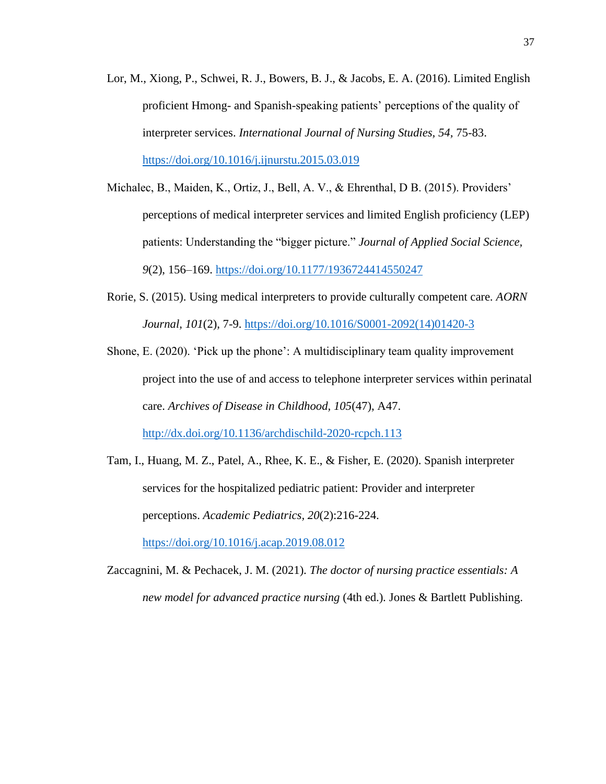- Lor, M., Xiong, P., Schwei, R. J., Bowers, B. J., & Jacobs, E. A. (2016). Limited English proficient Hmong- and Spanish-speaking patients' perceptions of the quality of interpreter services. *International Journal of Nursing Studies, 54,* 75-83. [https://doi.org/10.1016/j.ijnurstu.2015.03.019](https://doi-org.ezproxy.gardner-webb.edu/10.1016/j.ijnurstu.2015.03.019)
- Michalec, B., Maiden, K., Ortiz, J., Bell, A. V., & Ehrenthal, D B. (2015). Providers' perceptions of medical interpreter services and limited English proficiency (LEP) patients: Understanding the "bigger picture." *Journal of Applied Social Science, 9*(2), 156–169. https://doi.org[/10.1177/1936724414550247](https://doi-org.ezproxy.gardner-webb.edu/10.1177/1936724414550247)
- Rorie, S. (2015). Using medical interpreters to provide culturally competent care. *AORN Journal, 101*(2), 7-9. [https://doi.org/10.1016/S0001-2092\(14\)01420-3](https://doi.org/10.1016/S0001-2092(14)01420-3)
- Shone, E. (2020). 'Pick up the phone': A multidisciplinary team quality improvement project into the use of and access to telephone interpreter services within perinatal care. *Archives of Disease in Childhood, 105*(47), A47. <http://dx.doi.org/10.1136/archdischild-2020-rcpch.113>
- Tam, I., Huang, M. Z., Patel, A., Rhee, K. E., & Fisher, E. (2020). Spanish interpreter services for the hospitalized pediatric patient: Provider and interpreter perceptions. *Academic Pediatrics, 20*(2):216-224. <https://doi.org/10.1016/j.acap.2019.08.012>
- Zaccagnini, M. & Pechacek, J. M. (2021). *The doctor of nursing practice essentials: A new model for advanced practice nursing* (4th ed.)*.* Jones & Bartlett Publishing.